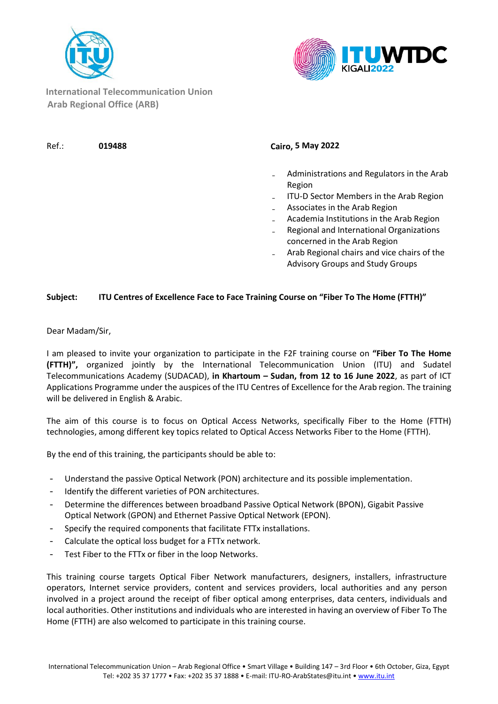



**International Telecommunication Union Arab Regional Office (ARB)**

Ref.: **019488 Cairo, 5 May 2022**

- ₋ Administrations and Regulators in the Arab Region
- ₋ ITU-D Sector Members in the Arab Region
- ₋ Associates in the Arab Region
- ₋ Academia Institutions in the Arab Region
- ₋ Regional and International Organizations concerned in the Arab Region
- ₋ Arab Regional chairs and vice chairs of the Advisory Groups and Study Groups

## **Subject: ITU Centres of Excellence Face to Face Training Course on "Fiber To The Home (FTTH)"**

Dear Madam/Sir,

I am pleased to invite your organization to participate in the F2F training course on **"Fiber To The Home (FTTH)",** organized jointly by the International Telecommunication Union (ITU) and Sudatel Telecommunications Academy (SUDACAD), **in Khartoum – Sudan, from 12 to 16 June 2022**, as part of ICT Applications Programme under the auspices of the ITU Centres of Excellence for the Arab region. The training will be delivered in English & Arabic.

The aim of this course is to focus on Optical Access Networks, specifically Fiber to the Home (FTTH) technologies, among different key topics related to Optical Access Networks Fiber to the Home (FTTH).

By the end of this training, the participants should be able to:

- Understand the passive Optical Network (PON) architecture and its possible implementation.
- Identify the different varieties of PON architectures.
- Determine the differences between broadband Passive Optical Network (BPON), Gigabit Passive Optical Network (GPON) and Ethernet Passive Optical Network (EPON).
- Specify the required components that facilitate FTTx installations.
- Calculate the optical loss budget for a FTTx network.
- Test Fiber to the FTTx or fiber in the loop Networks.

This training course targets Optical Fiber Network manufacturers, designers, installers, infrastructure operators, Internet service providers, content and services providers, local authorities and any person involved in a project around the receipt of fiber optical among enterprises, data centers, individuals and local authorities. Other institutions and individuals who are interested in having an overview of Fiber To The Home (FTTH) are also welcomed to participate in this training course.